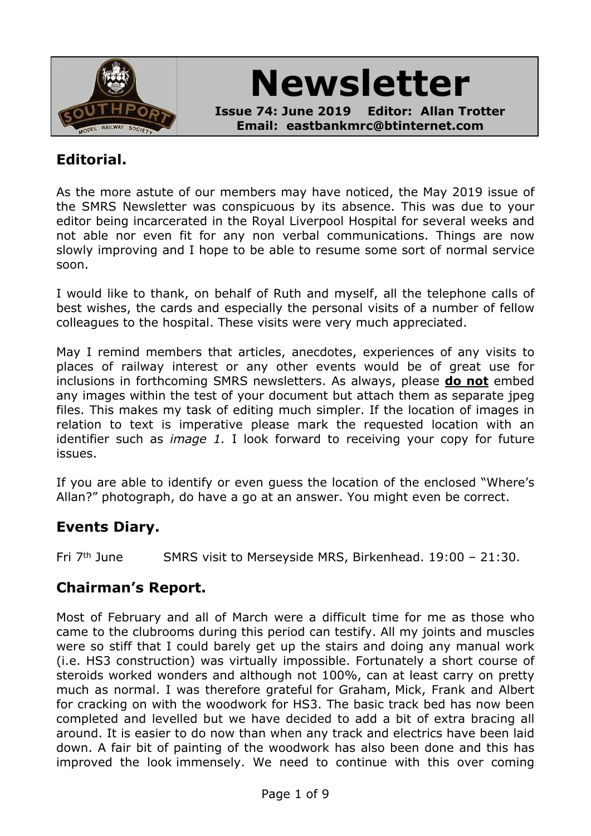

**Newsletter**

**Issue 74: June 2019 Editor: Allan Trotter Email: eastbankmrc@btinternet.com**

# **Editorial.**

As the more astute of our members may have noticed, the May 2019 issue of the SMRS Newsletter was conspicuous by its absence. This was due to your editor being incarcerated in the Royal Liverpool Hospital for several weeks and not able nor even fit for any non verbal communications. Things are now slowly improving and I hope to be able to resume some sort of normal service soon.

I would like to thank, on behalf of Ruth and myself, all the telephone calls of best wishes, the cards and especially the personal visits of a number of fellow colleagues to the hospital. These visits were very much appreciated.

May I remind members that articles, anecdotes, experiences of any visits to places of railway interest or any other events would be of great use for inclusions in forthcoming SMRS newsletters. As always, please **do not** embed any images within the test of your document but attach them as separate ipeg files. This makes my task of editing much simpler. If the location of images in relation to text is imperative please mark the requested location with an identifier such as *image 1.* I look forward to receiving your copy for future issues.

If you are able to identify or even guess the location of the enclosed "Where's Allan?" photograph, do have a go at an answer. You might even be correct.

# **Events Diary.**

Fri 7th June SMRS visit to Merseyside MRS, Birkenhead. 19:00 – 21:30.

## **Chairman's Report.**

Most of February and all of March were a difficult time for me as those who came to the clubrooms during this period can testify. All my joints and muscles were so stiff that I could barely get up the stairs and doing any manual work (i.e. HS3 construction) was virtually impossible. Fortunately a short course of steroids worked wonders and although not 100%, can at least carry on pretty much as normal. I was therefore grateful for Graham, Mick, Frank and Albert for cracking on with the woodwork for HS3. The basic track bed has now been completed and levelled but we have decided to add a bit of extra bracing all around. It is easier to do now than when any track and electrics have been laid down. A fair bit of painting of the woodwork has also been done and this has improved the look immensely. We need to continue with this over coming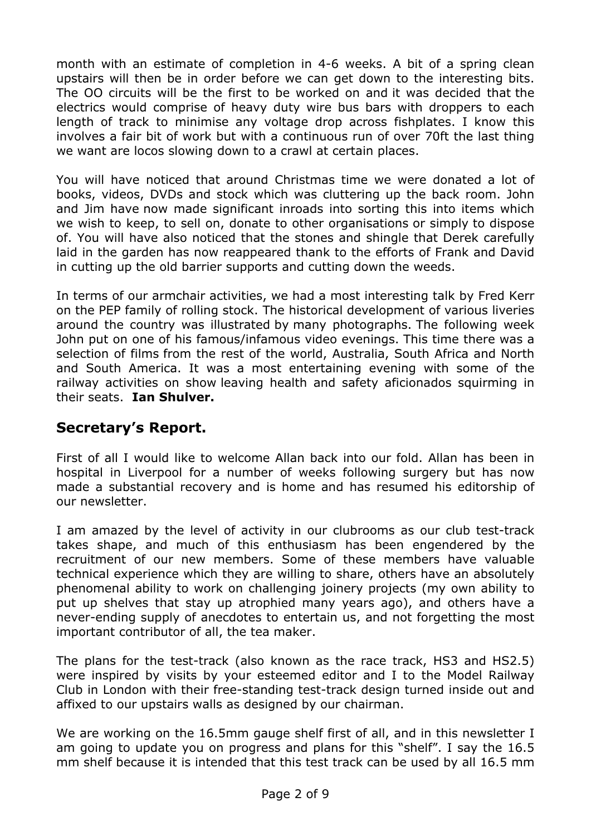month with an estimate of completion in 4-6 weeks. A bit of a spring clean upstairs will then be in order before we can get down to the interesting bits. The OO circuits will be the first to be worked on and it was decided that the electrics would comprise of heavy duty wire bus bars with droppers to each length of track to minimise any voltage drop across fishplates. I know this involves a fair bit of work but with a continuous run of over 70ft the last thing we want are locos slowing down to a crawl at certain places.

You will have noticed that around Christmas time we were donated a lot of books, videos, DVDs and stock which was cluttering up the back room. John and Jim have now made significant inroads into sorting this into items which we wish to keep, to sell on, donate to other organisations or simply to dispose of. You will have also noticed that the stones and shingle that Derek carefully laid in the garden has now reappeared thank to the efforts of Frank and David in cutting up the old barrier supports and cutting down the weeds.

In terms of our armchair activities, we had a most interesting talk by Fred Kerr on the PEP family of rolling stock. The historical development of various liveries around the country was illustrated by many photographs. The following week John put on one of his famous/infamous video evenings. This time there was a selection of films from the rest of the world, Australia, South Africa and North and South America. It was a most entertaining evening with some of the railway activities on show leaving health and safety aficionados squirming in their seats. **Ian Shulver.**

# **Secretary's Report.**

First of all I would like to welcome Allan back into our fold. Allan has been in hospital in Liverpool for a number of weeks following surgery but has now made a substantial recovery and is home and has resumed his editorship of our newsletter.

I am amazed by the level of activity in our clubrooms as our club test-track takes shape, and much of this enthusiasm has been engendered by the recruitment of our new members. Some of these members have valuable technical experience which they are willing to share, others have an absolutely phenomenal ability to work on challenging joinery projects (my own ability to put up shelves that stay up atrophied many years ago), and others have a never-ending supply of anecdotes to entertain us, and not forgetting the most important contributor of all, the tea maker.

The plans for the test-track (also known as the race track, HS3 and HS2.5) were inspired by visits by your esteemed editor and I to the Model Railway Club in London with their free-standing test-track design turned inside out and affixed to our upstairs walls as designed by our chairman.

We are working on the 16.5mm gauge shelf first of all, and in this newsletter I am going to update you on progress and plans for this "shelf". I say the 16.5 mm shelf because it is intended that this test track can be used by all 16.5 mm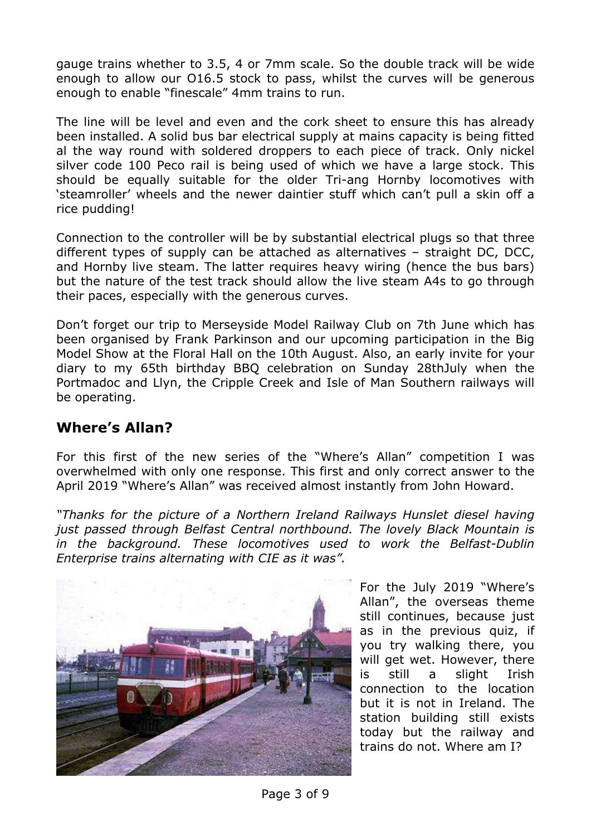gauge trains whether to 3.5, 4 or 7mm scale. So the double track will be wide enough to allow our O16.5 stock to pass, whilst the curves will be generous enough to enable "finescale" 4mm trains to run.

The line will be level and even and the cork sheet to ensure this has already been installed. A solid bus bar electrical supply at mains capacity is being fitted al the way round with soldered droppers to each piece of track. Only nickel silver code 100 Peco rail is being used of which we have a large stock. This should be equally suitable for the older Tri-ang Hornby locomotives with 'steamroller' wheels and the newer daintier stuff which can't pull a skin off a rice pudding!

Connection to the controller will be by substantial electrical plugs so that three different types of supply can be attached as alternatives – straight DC, DCC, and Hornby live steam. The latter requires heavy wiring (hence the bus bars) but the nature of the test track should allow the live steam A4s to go through their paces, especially with the generous curves.

Don't forget our trip to Merseyside Model Railway Club on 7th June which has been organised by Frank Parkinson and our upcoming participation in the Big Model Show at the Floral Hall on the 10th August. Also, an early invite for your diary to my 65th birthday BBQ celebration on Sunday 28thJuly when the Portmadoc and Llyn, the Cripple Creek and Isle of Man Southern railways will be operating.

# **Where's Allan?**

For this first of the new series of the "Where's Allan" competition I was overwhelmed with only one response. This first and only correct answer to the April 2019 "Where's Allan" was received almost instantly from John Howard.

*"Thanks for the picture of a Northern Ireland Railways Hunslet diesel having just passed through Belfast Central northbound. The lovely Black Mountain is in the background. These locomotives used to work the Belfast-Dublin Enterprise trains alternating with CIE as it was".*



For the July 2019 "Where's Allan", the overseas theme still continues, because just as in the previous quiz, if you try walking there, you will get wet. However, there is still a slight Irish connection to the location but it is not in Ireland. The station building still exists today but the railway and trains do not. Where am I?

Page 3 of 9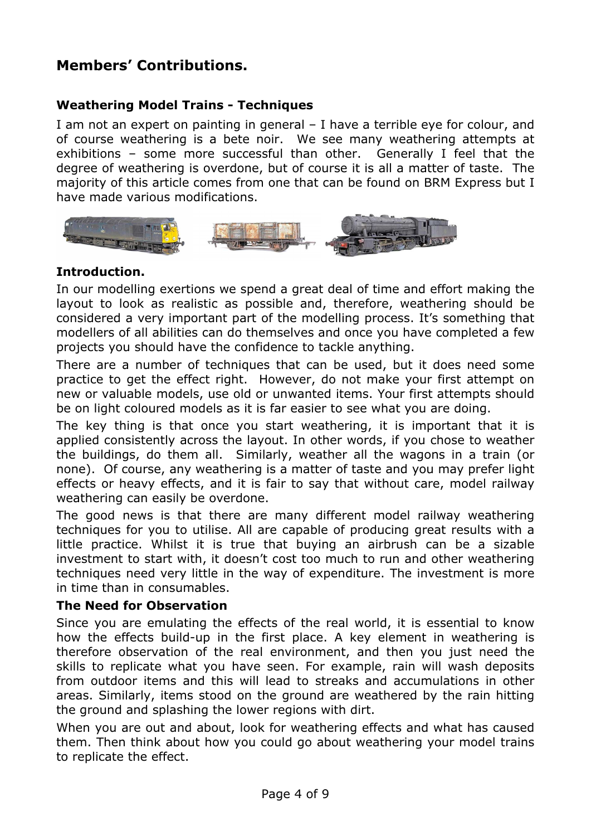# **Members' Contributions.**

## **Weathering Model Trains - Techniques**

I am not an expert on painting in general – I have a terrible eye for colour, and of course weathering is a bete noir. We see many weathering attempts at exhibitions – some more successful than other. Generally I feel that the degree of weathering is overdone, but of course it is all a matter of taste. The majority of this article comes from one that can be found on BRM Express but I have made various modifications.



#### **Introduction.**

In our modelling exertions we spend a great deal of time and effort making the layout to look as realistic as possible and, therefore, weathering should be considered a very important part of the modelling process. It's something that modellers of all abilities can do themselves and once you have completed a few projects you should have the confidence to tackle anything.

There are a number of techniques that can be used, but it does need some practice to get the effect right. However, do not make your first attempt on new or valuable models, use old or unwanted items. Your first attempts should be on light coloured models as it is far easier to see what you are doing.

The key thing is that once you start weathering, it is important that it is applied consistently across the layout. In other words, if you chose to weather the buildings, do them all. Similarly, weather all the wagons in a train (or none). Of course, any weathering is a matter of taste and you may prefer light effects or heavy effects, and it is fair to say that without care, model railway weathering can easily be overdone.

The good news is that there are many different model railway weathering techniques for you to utilise. All are capable of producing great results with a little practice. Whilst it is true that buying an airbrush can be a sizable investment to start with, it doesn't cost too much to run and other weathering techniques need very little in the way of expenditure. The investment is more in time than in consumables.

#### **The Need for Observation**

Since you are emulating the effects of the real world, it is essential to know how the effects build-up in the first place. A key element in weathering is therefore observation of the real environment, and then you just need the skills to replicate what you have seen. For example, rain will wash deposits from outdoor items and this will lead to streaks and accumulations in other areas. Similarly, items stood on the ground are weathered by the rain hitting the ground and splashing the lower regions with dirt.

When you are out and about, look for weathering effects and what has caused them. Then think about how you could go about weathering your model trains to replicate the effect.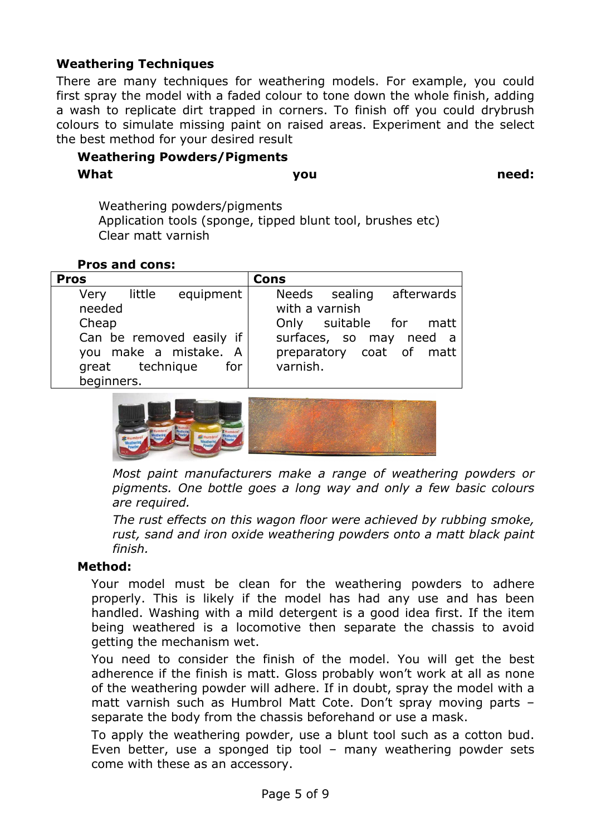#### **Weathering Techniques**

There are many techniques for weathering models. For example, you could first spray the model with a faded colour to tone down the whole finish, adding a wash to replicate dirt trapped in corners. To finish off you could drybrush colours to simulate missing paint on raised areas. Experiment and the select the best method for your desired result

# **Weathering Powders/Pigments What you need:**

Weathering powders/pigments Application tools (sponge, tipped blunt tool, brushes etc) Clear matt varnish

#### **Pros and cons:**

| <b>Pros</b>                   | Cons                     |
|-------------------------------|--------------------------|
| equipment  <br>little<br>Very | Needs sealing afterwards |
| needed                        | with a varnish           |
| Cheap                         | Only suitable for matt   |
| Can be removed easily if      | surfaces, so may need a  |
| you make a mistake. A         | preparatory coat of matt |
| great technique<br>for        | varnish.                 |
| beginners.                    |                          |



*Most paint manufacturers make a range of weathering powders or pigments. One bottle goes a long way and only a few basic colours are required.*

*The rust effects on this wagon floor were achieved by rubbing smoke, rust, sand and iron oxide weathering powders onto a matt black paint finish.*

#### **Method:**

Your model must be clean for the weathering powders to adhere properly. This is likely if the model has had any use and has been handled. Washing with a mild detergent is a good idea first. If the item being weathered is a locomotive then separate the chassis to avoid getting the mechanism wet.

You need to consider the finish of the model. You will get the best adherence if the finish is matt. Gloss probably won't work at all as none of the weathering powder will adhere. If in doubt, spray the model with a matt varnish such as Humbrol Matt Cote. Don't spray moving parts – separate the body from the chassis beforehand or use a mask.

To apply the weathering powder, use a blunt tool such as a cotton bud. Even better, use a sponged tip tool – many weathering powder sets come with these as an accessory.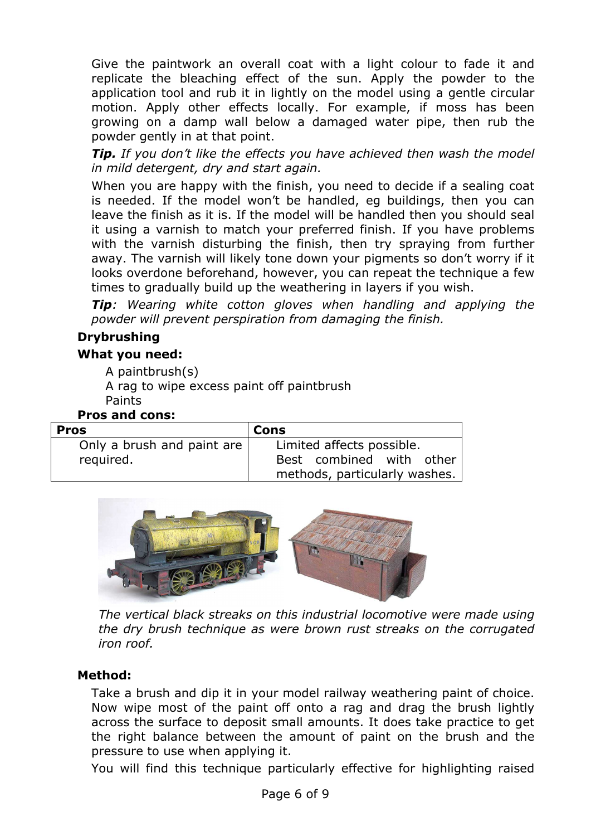Give the paintwork an overall coat with a light colour to fade it and replicate the bleaching effect of the sun. Apply the powder to the application tool and rub it in lightly on the model using a gentle circular motion. Apply other effects locally. For example, if moss has been growing on a damp wall below a damaged water pipe, then rub the powder gently in at that point.

*Tip. If you don't like the effects you have achieved then wash the model in mild detergent, dry and start again.*

When you are happy with the finish, you need to decide if a sealing coat is needed. If the model won't be handled, eg buildings, then you can leave the finish as it is. If the model will be handled then you should seal it using a varnish to match your preferred finish. If you have problems with the varnish disturbing the finish, then try spraying from further away. The varnish will likely tone down your pigments so don't worry if it looks overdone beforehand, however, you can repeat the technique a few times to gradually build up the weathering in layers if you wish.

*Tip: Wearing white cotton gloves when handling and applying the powder will prevent perspiration from damaging the finish.*

## **Drybrushing**

#### **What you need:**

A paintbrush(s)

A rag to wipe excess paint off paintbrush Paints

#### **Pros and cons:**

| <b>Pros</b>                | Cons                          |
|----------------------------|-------------------------------|
| Only a brush and paint are | Limited affects possible.     |
| required.                  | Best combined with other      |
|                            | methods, particularly washes. |



*The vertical black streaks on this industrial locomotive were made using the dry brush technique as were brown rust streaks on the corrugated iron roof.*

## **Method:**

Take a brush and dip it in your model railway weathering paint of choice. Now wipe most of the paint off onto a rag and drag the brush lightly across the surface to deposit small amounts. It does take practice to get the right balance between the amount of paint on the brush and the pressure to use when applying it.

You will find this technique particularly effective for highlighting raised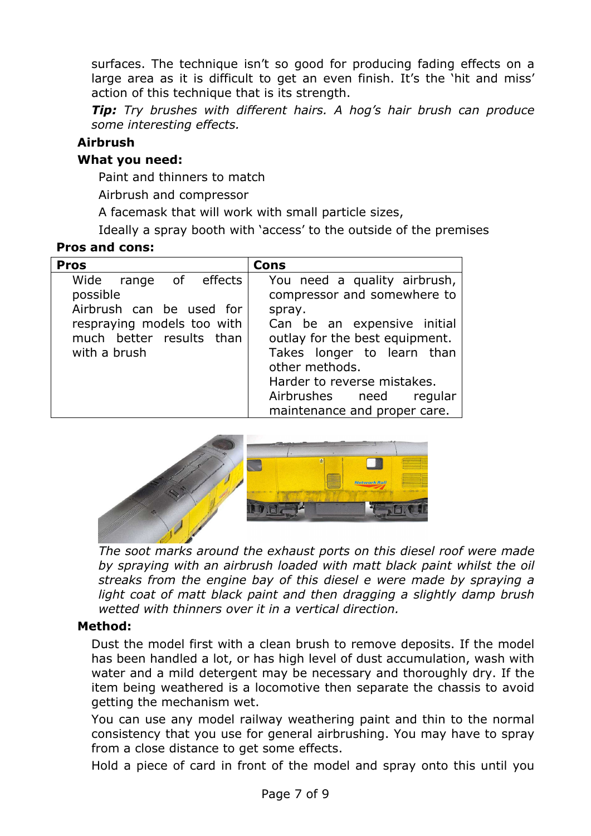surfaces. The technique isn't so good for producing fading effects on a large area as it is difficult to get an even finish. It's the 'hit and miss' action of this technique that is its strength.

*Tip: Try brushes with different hairs. A hog's hair brush can produce some interesting effects.*

### **Airbrush**

#### **What you need:**

Paint and thinners to match

Airbrush and compressor

A facemask that will work with small particle sizes,

Ideally a spray booth with 'access' to the outside of the premises

#### **Pros and cons:**

| <b>Pros</b>                                                                                                                             | Cons                                                                                                                                                                                                                                                                             |
|-----------------------------------------------------------------------------------------------------------------------------------------|----------------------------------------------------------------------------------------------------------------------------------------------------------------------------------------------------------------------------------------------------------------------------------|
| Wide range of effects<br>possible<br>Airbrush can be used for<br>respraying models too with<br>much better results than<br>with a brush | You need a quality airbrush,<br>compressor and somewhere to<br>spray.<br>Can be an expensive initial<br>outlay for the best equipment.<br>Takes longer to learn than<br>other methods.<br>Harder to reverse mistakes.<br>Airbrushes need regular<br>maintenance and proper care. |



*The soot marks around the exhaust ports on this diesel roof were made by spraying with an airbrush loaded with matt black paint whilst the oil streaks from the engine bay of this diesel e were made by spraying a light coat of matt black paint and then dragging a slightly damp brush wetted with thinners over it in a vertical direction.*

#### **Method:**

Dust the model first with a clean brush to remove deposits. If the model has been handled a lot, or has high level of dust accumulation, wash with water and a mild detergent may be necessary and thoroughly dry. If the item being weathered is a locomotive then separate the chassis to avoid getting the mechanism wet.

You can use any model railway weathering paint and thin to the normal consistency that you use for general airbrushing. You may have to spray from a close distance to get some effects.

Hold a piece of card in front of the model and spray onto this until you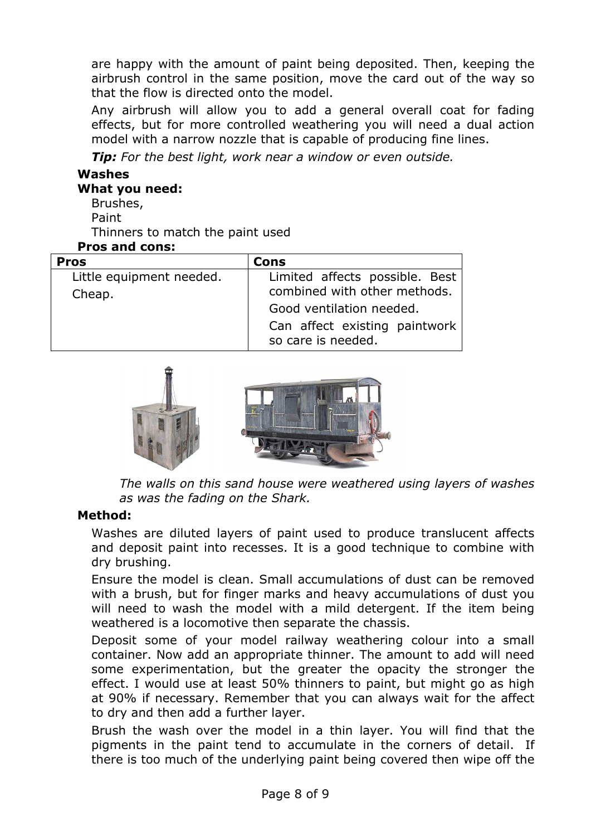are happy with the amount of paint being deposited. Then, keeping the airbrush control in the same position, move the card out of the way so that the flow is directed onto the model.

Any airbrush will allow you to add a general overall coat for fading effects, but for more controlled weathering you will need a dual action model with a narrow nozzle that is capable of producing fine lines.

*Tip: For the best light, work near a window or even outside.*

## **Washes**

#### **What you need:**

- Brushes,
- Paint

Thinners to match the paint used

#### **Pros and cons:**

| <b>Pros</b>                        | Cons                                                           |
|------------------------------------|----------------------------------------------------------------|
| Little equipment needed.<br>Cheap. | Limited affects possible. Best<br>combined with other methods. |
|                                    | Good ventilation needed.                                       |
|                                    | Can affect existing paintwork<br>so care is needed.            |



*The walls on this sand house were weathered using layers of washes as was the fading on the Shark.*

#### **Method:**

Washes are diluted layers of paint used to produce translucent affects and deposit paint into recesses. It is a good technique to combine with dry brushing.

Ensure the model is clean. Small accumulations of dust can be removed with a brush, but for finger marks and heavy accumulations of dust you will need to wash the model with a mild detergent. If the item being weathered is a locomotive then separate the chassis.

Deposit some of your model railway weathering colour into a small container. Now add an appropriate thinner. The amount to add will need some experimentation, but the greater the opacity the stronger the effect. I would use at least 50% thinners to paint, but might go as high at 90% if necessary. Remember that you can always wait for the affect to dry and then add a further layer.

Brush the wash over the model in a thin layer. You will find that the pigments in the paint tend to accumulate in the corners of detail. If there is too much of the underlying paint being covered then wipe off the